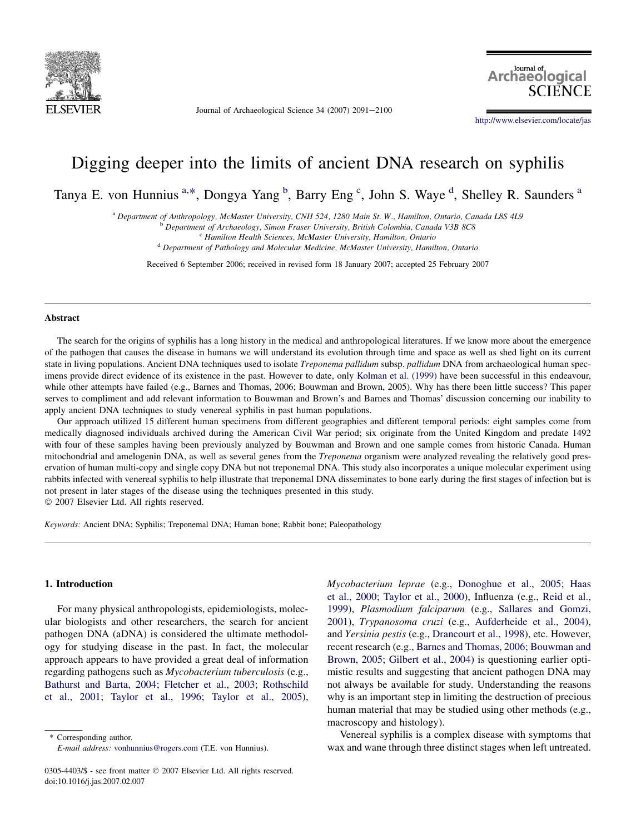

Journal of Archaeological Science 34 (2007)  $2091-2100$ 

Journal of Archaeologica

[http://www.elsevier.com/locate/jas](http://http://www.elsevier.com/locate/jas)

# Digging deeper into the limits of ancient DNA research on syphilis

Tanya E. von Hunnius <sup>a,\*</sup>, Dongya Yang <sup>b</sup>, Barry Eng <sup>c</sup>, John S. Waye <sup>d</sup>, Shelley R. Saunders <sup>a</sup>

a Department of Anthropology, McMaster University, CNH 524, 1280 Main St. W., Hamilton, Ontario, Canada L8S 4L9<br><sup>b</sup> Department of Archaeology, Simon Fraser University, British Colombia, Canada V3B 8C8<br><sup>c</sup> Hamilton Health S

Received 6 September 2006; received in revised form 18 January 2007; accepted 25 February 2007

# Abstract

The search for the origins of syphilis has a long history in the medical and anthropological literatures. If we know more about the emergence of the pathogen that causes the disease in humans we will understand its evolution through time and space as well as shed light on its current state in living populations. Ancient DNA techniques used to isolate *Treponema pallidum* subsp. *pallidum* DNA from archaeological human specimens provide direct evidence of its existence in the past. However to date, only [Kolman et al. \(1999\)](#page-8-0) have been successful in this endeavour, while other attempts have failed (e.g., Barnes and Thomas, 2006; Bouwman and Brown, 2005). Why has there been little success? This paper serves to compliment and add relevant information to Bouwman and Brown's and Barnes and Thomas' discussion concerning our inability to apply ancient DNA techniques to study venereal syphilis in past human populations.

Our approach utilized 15 different human specimens from different geographies and different temporal periods: eight samples come from medically diagnosed individuals archived during the American Civil War period; six originate from the United Kingdom and predate 1492 with four of these samples having been previously analyzed by Bouwman and Brown and one sample comes from historic Canada. Human mitochondrial and amelogenin DNA, as well as several genes from the *Treponema* organism were analyzed revealing the relatively good preservation of human multi-copy and single copy DNA but not treponemal DNA. This study also incorporates a unique molecular experiment using rabbits infected with venereal syphilis to help illustrate that treponemal DNA disseminates to bone early during the first stages of infection but is not present in later stages of the disease using the techniques presented in this study.

 $© 2007 Elsevier Ltd. All rights reserved.$ 

Keywords: Ancient DNA; Syphilis; Treponemal DNA; Human bone; Rabbit bone; Paleopathology

## 1. Introduction

For many physical anthropologists, epidemiologists, molecular biologists and other researchers, the search for ancient pathogen DNA (aDNA) is considered the ultimate methodology for studying disease in the past. In fact, the molecular approach appears to have provided a great deal of information regarding pathogens such as Mycobacterium tuberculosis (e.g., [Bathurst and Barta, 2004; Fletcher et al., 2003; Rothschild](#page-8-0) [et al., 2001; Taylor et al., 1996; Taylor et al., 2005\)](#page-8-0),

\* Corresponding author. E-mail address: [vonhunnius@rogers.com](mailto:vonhunnius@rogers.com) (T.E. von Hunnius). Mycobacterium leprae (e.g., [Donoghue et al., 2005; Haas](#page-8-0) [et al., 2000; Taylor et al., 2000\)](#page-8-0), Influenza (e.g., [Reid et al.,](#page-9-0) [1999](#page-9-0)), Plasmodium falciparum (e.g., [Sallares and Gomzi,](#page-9-0) [2001](#page-9-0)), Trypanosoma cruzi (e.g., [Aufderheide et al., 2004\)](#page-8-0), and Yersinia pestis (e.g., [Drancourt et al., 1998](#page-8-0)), etc. However, recent research (e.g., [Barnes and Thomas, 2006; Bouwman and](#page-8-0) [Brown, 2005; Gilbert et al., 2004](#page-8-0)) is questioning earlier optimistic results and suggesting that ancient pathogen DNA may not always be available for study. Understanding the reasons why is an important step in limiting the destruction of precious human material that may be studied using other methods (e.g., macroscopy and histology).

Venereal syphilis is a complex disease with symptoms that wax and wane through three distinct stages when left untreated.

<sup>0305-4403/\$ -</sup> see front matter © 2007 Elsevier Ltd. All rights reserved. doi:10.1016/j.jas.2007.02.007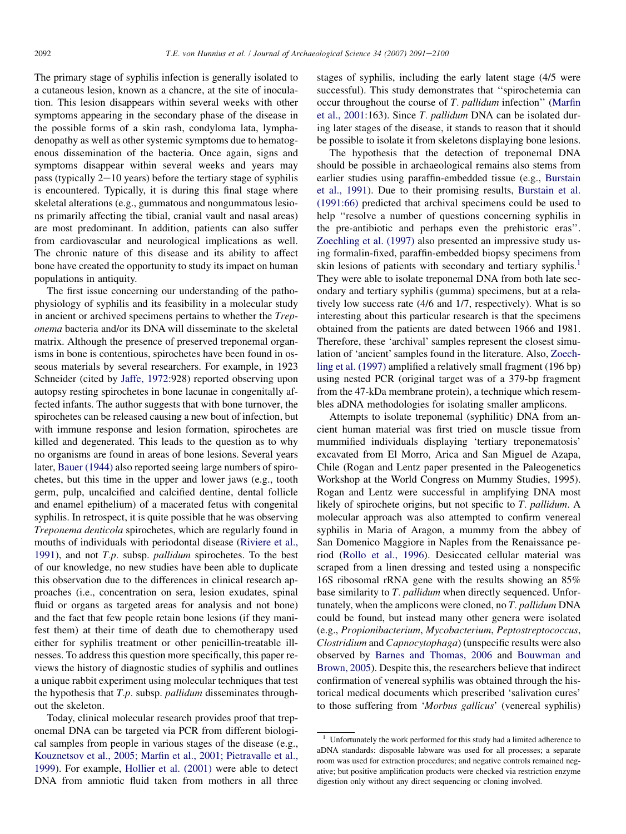The primary stage of syphilis infection is generally isolated to a cutaneous lesion, known as a chancre, at the site of inoculation. This lesion disappears within several weeks with other symptoms appearing in the secondary phase of the disease in the possible forms of a skin rash, condyloma lata, lymphadenopathy as well as other systemic symptoms due to hematogenous dissemination of the bacteria. Once again, signs and symptoms disappear within several weeks and years may pass (typically  $2-10$  years) before the tertiary stage of syphilis is encountered. Typically, it is during this final stage where skeletal alterations (e.g., gummatous and nongummatous lesions primarily affecting the tibial, cranial vault and nasal areas) are most predominant. In addition, patients can also suffer from cardiovascular and neurological implications as well. The chronic nature of this disease and its ability to affect bone have created the opportunity to study its impact on human populations in antiquity.

The first issue concerning our understanding of the pathophysiology of syphilis and its feasibility in a molecular study in ancient or archived specimens pertains to whether the Treponema bacteria and/or its DNA will disseminate to the skeletal matrix. Although the presence of preserved treponemal organisms in bone is contentious, spirochetes have been found in osseous materials by several researchers. For example, in 1923 Schneider (cited by [Jaffe, 1972](#page-8-0):928) reported observing upon autopsy resting spirochetes in bone lacunae in congenitally affected infants. The author suggests that with bone turnover, the spirochetes can be released causing a new bout of infection, but with immune response and lesion formation, spirochetes are killed and degenerated. This leads to the question as to why no organisms are found in areas of bone lesions. Several years later, [Bauer \(1944\)](#page-8-0) also reported seeing large numbers of spirochetes, but this time in the upper and lower jaws (e.g., tooth germ, pulp, uncalcified and calcified dentine, dental follicle and enamel epithelium) of a macerated fetus with congenital syphilis. In retrospect, it is quite possible that he was observing Treponema denticola spirochetes, which are regularly found in mouths of individuals with periodontal disease ([Riviere et al.,](#page-9-0) [1991\)](#page-9-0), and not T.p. subsp. *pallidum* spirochetes. To the best of our knowledge, no new studies have been able to duplicate this observation due to the differences in clinical research approaches (i.e., concentration on sera, lesion exudates, spinal fluid or organs as targeted areas for analysis and not bone) and the fact that few people retain bone lesions (if they manifest them) at their time of death due to chemotherapy used either for syphilis treatment or other penicillin-treatable illnesses. To address this question more specifically, this paper reviews the history of diagnostic studies of syphilis and outlines a unique rabbit experiment using molecular techniques that test the hypothesis that  $T.p.$  subsp. *pallidum* disseminates throughout the skeleton.

Today, clinical molecular research provides proof that treponemal DNA can be targeted via PCR from different biological samples from people in various stages of the disease (e.g., [Kouznetsov et al., 2005; Marfin et al., 2001; Pietravalle et al.,](#page-8-0) [1999\)](#page-8-0). For example, [Hollier et al. \(2001\)](#page-8-0) were able to detect DNA from amniotic fluid taken from mothers in all three

stages of syphilis, including the early latent stage (4/5 were successful). This study demonstrates that ''spirochetemia can occur throughout the course of T. pallidum infection'' ([Marfin](#page-8-0) [et al., 2001](#page-8-0):163). Since T. pallidum DNA can be isolated during later stages of the disease, it stands to reason that it should be possible to isolate it from skeletons displaying bone lesions.

The hypothesis that the detection of treponemal DNA should be possible in archaeological remains also stems from earlier studies using paraffin-embedded tissue (e.g., [Burstain](#page-8-0) [et al., 1991\)](#page-8-0). Due to their promising results, [Burstain et al.](#page-8-0) [\(1991:66\)](#page-8-0) predicted that archival specimens could be used to help "resolve a number of questions concerning syphilis in the pre-antibiotic and perhaps even the prehistoric eras''. [Zoechling et al. \(1997\)](#page-9-0) also presented an impressive study using formalin-fixed, paraffin-embedded biopsy specimens from skin lesions of patients with secondary and tertiary syphilis.<sup>1</sup> They were able to isolate treponemal DNA from both late secondary and tertiary syphilis (gumma) specimens, but at a relatively low success rate (4/6 and 1/7, respectively). What is so interesting about this particular research is that the specimens obtained from the patients are dated between 1966 and 1981. Therefore, these 'archival' samples represent the closest simulation of 'ancient' samples found in the literature. Also, [Zoech](#page-9-0)[ling et al. \(1997\)](#page-9-0) amplified a relatively small fragment (196 bp) using nested PCR (original target was of a 379-bp fragment from the 47-kDa membrane protein), a technique which resembles aDNA methodologies for isolating smaller amplicons.

Attempts to isolate treponemal (syphilitic) DNA from ancient human material was first tried on muscle tissue from mummified individuals displaying 'tertiary treponematosis' excavated from El Morro, Arica and San Miguel de Azapa, Chile (Rogan and Lentz paper presented in the Paleogenetics Workshop at the World Congress on Mummy Studies, 1995). Rogan and Lentz were successful in amplifying DNA most likely of spirochete origins, but not specific to T. pallidum. A molecular approach was also attempted to confirm venereal syphilis in Maria of Aragon, a mummy from the abbey of San Domenico Maggiore in Naples from the Renaissance period [\(Rollo et al., 1996\)](#page-9-0). Desiccated cellular material was scraped from a linen dressing and tested using a nonspecific 16S ribosomal rRNA gene with the results showing an 85% base similarity to T. pallidum when directly sequenced. Unfortunately, when the amplicons were cloned, no T. pallidum DNA could be found, but instead many other genera were isolated (e.g., Propionibacterium, Mycobacterium, Peptostreptococcus, Clostridium and Capnocytophaga) (unspecific results were also observed by [Barnes and Thomas, 2006](#page-8-0) and [Bouwman and](#page-8-0) [Brown, 2005](#page-8-0)). Despite this, the researchers believe that indirect confirmation of venereal syphilis was obtained through the historical medical documents which prescribed 'salivation cures' to those suffering from 'Morbus gallicus' (venereal syphilis)

 $1$  Unfortunately the work performed for this study had a limited adherence to aDNA standards: disposable labware was used for all processes; a separate room was used for extraction procedures; and negative controls remained negative; but positive amplification products were checked via restriction enzyme digestion only without any direct sequencing or cloning involved.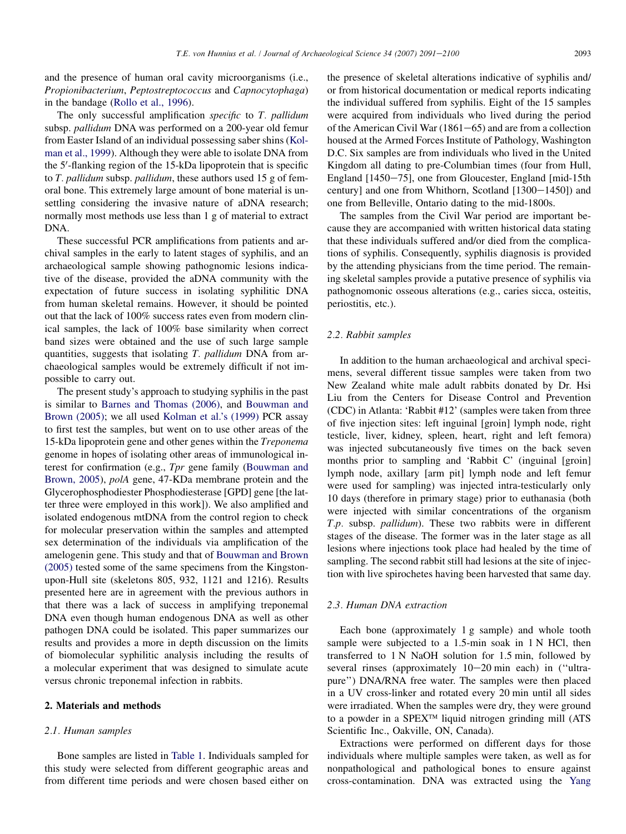and the presence of human oral cavity microorganisms (i.e., Propionibacterium, Peptostreptococcus and Capnocytophaga) in the bandage [\(Rollo et al., 1996\)](#page-9-0).

The only successful amplification *specific* to T. pallidum subsp. pallidum DNA was performed on a 200-year old femur from Easter Island of an individual possessing saber shins ([Kol](#page-8-0)[man et al., 1999\)](#page-8-0). Although they were able to isolate DNA from the 5'-flanking region of the 15-kDa lipoprotein that is specific to T. pallidum subsp. pallidum, these authors used 15 g of femoral bone. This extremely large amount of bone material is unsettling considering the invasive nature of aDNA research; normally most methods use less than 1 g of material to extract DNA.

These successful PCR amplifications from patients and archival samples in the early to latent stages of syphilis, and an archaeological sample showing pathognomic lesions indicative of the disease, provided the aDNA community with the expectation of future success in isolating syphilitic DNA from human skeletal remains. However, it should be pointed out that the lack of 100% success rates even from modern clinical samples, the lack of 100% base similarity when correct band sizes were obtained and the use of such large sample quantities, suggests that isolating T. pallidum DNA from archaeological samples would be extremely difficult if not impossible to carry out.

The present study's approach to studying syphilis in the past is similar to [Barnes and Thomas \(2006\)](#page-8-0), and [Bouwman and](#page-8-0) [Brown \(2005\)](#page-8-0); we all used [Kolman et al.'s \(1999\)](#page-8-0) PCR assay to first test the samples, but went on to use other areas of the 15-kDa lipoprotein gene and other genes within the Treponema genome in hopes of isolating other areas of immunological interest for confirmation (e.g., Tpr gene family ([Bouwman and](#page-8-0) [Brown, 2005](#page-8-0)), polA gene, 47-KDa membrane protein and the Glycerophosphodiester Phosphodiesterase [GPD] gene [the latter three were employed in this work]). We also amplified and isolated endogenous mtDNA from the control region to check for molecular preservation within the samples and attempted sex determination of the individuals via amplification of the amelogenin gene. This study and that of [Bouwman and Brown](#page-8-0) [\(2005\)](#page-8-0) tested some of the same specimens from the Kingstonupon-Hull site (skeletons 805, 932, 1121 and 1216). Results presented here are in agreement with the previous authors in that there was a lack of success in amplifying treponemal DNA even though human endogenous DNA as well as other pathogen DNA could be isolated. This paper summarizes our results and provides a more in depth discussion on the limits of biomolecular syphilitic analysis including the results of a molecular experiment that was designed to simulate acute versus chronic treponemal infection in rabbits.

## 2. Materials and methods

## 2.1. Human samples

Bone samples are listed in [Table 1](#page-3-0). Individuals sampled for this study were selected from different geographic areas and from different time periods and were chosen based either on

the presence of skeletal alterations indicative of syphilis and/ or from historical documentation or medical reports indicating the individual suffered from syphilis. Eight of the 15 samples were acquired from individuals who lived during the period of the American Civil War  $(1861-65)$  and are from a collection housed at the Armed Forces Institute of Pathology, Washington D.C. Six samples are from individuals who lived in the United Kingdom all dating to pre-Columbian times (four from Hull, England  $[1450-75]$ , one from Gloucester, England  $[mid-15th]$ century] and one from Whithorn, Scotland  $[1300-1450]$  and one from Belleville, Ontario dating to the mid-1800s.

The samples from the Civil War period are important because they are accompanied with written historical data stating that these individuals suffered and/or died from the complications of syphilis. Consequently, syphilis diagnosis is provided by the attending physicians from the time period. The remaining skeletal samples provide a putative presence of syphilis via pathognomonic osseous alterations (e.g., caries sicca, osteitis, periostitis, etc.).

## 2.2. Rabbit samples

In addition to the human archaeological and archival specimens, several different tissue samples were taken from two New Zealand white male adult rabbits donated by Dr. Hsi Liu from the Centers for Disease Control and Prevention (CDC) in Atlanta: 'Rabbit #12' (samples were taken from three of five injection sites: left inguinal [groin] lymph node, right testicle, liver, kidney, spleen, heart, right and left femora) was injected subcutaneously five times on the back seven months prior to sampling and 'Rabbit C' (inguinal [groin] lymph node, axillary [arm pit] lymph node and left femur were used for sampling) was injected intra-testicularly only 10 days (therefore in primary stage) prior to euthanasia (both were injected with similar concentrations of the organism T.p. subsp. pallidum). These two rabbits were in different stages of the disease. The former was in the later stage as all lesions where injections took place had healed by the time of sampling. The second rabbit still had lesions at the site of injection with live spirochetes having been harvested that same day.

## 2.3. Human DNA extraction

Each bone (approximately 1 g sample) and whole tooth sample were subjected to a 1.5-min soak in 1 N HCl, then transferred to 1 N NaOH solution for 1.5 min, followed by several rinses (approximately  $10-20$  min each) in ("ultrapure'') DNA/RNA free water. The samples were then placed in a UV cross-linker and rotated every 20 min until all sides were irradiated. When the samples were dry, they were ground to a powder in a SPEX<sup>TM</sup> liquid nitrogen grinding mill (ATS Scientific Inc., Oakville, ON, Canada).

Extractions were performed on different days for those individuals where multiple samples were taken, as well as for nonpathological and pathological bones to ensure against cross-contamination. DNA was extracted using the [Yang](#page-9-0)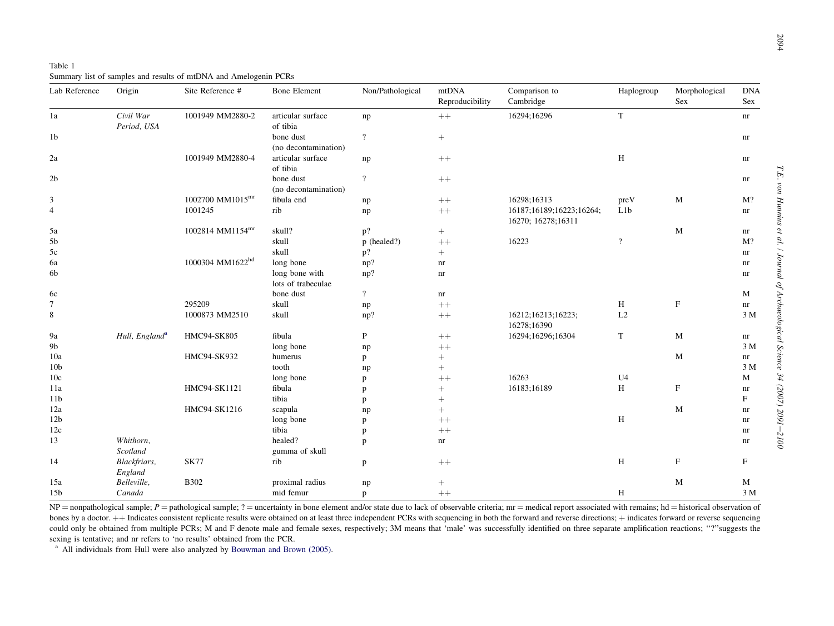| Lab Reference   | Origin                     | Site Reference #             | <b>Bone Element</b>                  | Non/Pathological         | mtDNA<br>Reproducibility   | Comparison to<br>Cambridge                      | Haplogroup               | Morphological<br>Sex | $\rm DNA$<br>Sex           |
|-----------------|----------------------------|------------------------------|--------------------------------------|--------------------------|----------------------------|-------------------------------------------------|--------------------------|----------------------|----------------------------|
| 1a              | Civil War<br>Period, USA   | 1001949 MM2880-2             | articular surface<br>of tibia        | np                       | $++$                       | 16294;16296                                     | $\mathbf T$              |                      | nr                         |
| 1 <sub>b</sub>  |                            |                              | bone dust<br>(no decontamination)    | $\overline{\mathcal{L}}$ | $\qquad \qquad +$          |                                                 |                          |                      | nr                         |
| 2a              |                            | 1001949 MM2880-4             | articular surface<br>of tibia        | np                       | $++$                       |                                                 | H                        |                      | nr                         |
| 2 <sub>b</sub>  |                            |                              | bone dust<br>(no decontamination)    | $\overline{\mathcal{L}}$ | $++$                       |                                                 |                          |                      | nr                         |
| 3               |                            | 1002700 MM1015 <sup>mr</sup> | fibula end                           | np                       | $++$                       | 16298;16313                                     | preV                     | M                    | $M$ ?                      |
| $\overline{4}$  |                            | 1001245                      | rib                                  | np                       | $++$                       | 16187;16189;16223;16264;<br>16270; 16278; 16311 | L1b                      |                      | nr                         |
| 5a              |                            | 1002814 MM1154mr             | skull?                               | $p$ ?                    | $+$                        |                                                 |                          | M                    | nr                         |
| $5\mathrm{b}$   |                            |                              | skull                                | p (healed?)              | $++$                       | 16223                                           | $\overline{\mathcal{L}}$ |                      | $M$ ?                      |
| 5c              |                            |                              | skull                                | $p$ ?                    | $^{+}$                     |                                                 |                          |                      | nr                         |
| 6a              |                            | 1000304 MM1622 <sup>hd</sup> | long bone                            | np?                      | $\mathop{\rm nr}\nolimits$ |                                                 |                          |                      | nr                         |
| 6b              |                            |                              | long bone with<br>lots of trabeculae | np?                      | nr                         |                                                 |                          |                      | nr                         |
| 6c              |                            |                              | bone dust                            | $\overline{?}$           | nr                         |                                                 |                          |                      | M                          |
| $\tau$          |                            | 295209                       | skull                                | np                       | $++$                       |                                                 | H                        | ${\bf F}$            | nr                         |
| $\,8\,$         |                            | 1000873 MM2510               | skull                                | np?                      | $\boldsymbol{++}$          | 16212;16213;16223;<br>16278;16390               | L2                       |                      | 3 M                        |
| 9a              | Hull, England <sup>a</sup> | HMC94-SK805                  | fibula                               | $\mathbf P$              | $++$                       | 16294;16296;16304                               | T                        | M                    | $\mathop{\rm nr}\nolimits$ |
| $9\mathrm{b}$   |                            |                              | long bone                            | np                       | $++$                       |                                                 |                          |                      | 3 M                        |
| 10a             |                            | HMC94-SK932                  | humerus                              | p                        |                            |                                                 |                          | M                    | $\mathop{\rm nr}\nolimits$ |
| 10 <sub>b</sub> |                            |                              | tooth                                | np                       | $+$                        |                                                 |                          |                      | 3 <sub>M</sub>             |
| 10c             |                            |                              | long bone                            | p                        | $++$                       | 16263                                           | U <sub>4</sub>           |                      | $\mathbf M$                |
| 11a             |                            | HMC94-SK1121                 | fibula                               | p                        | $^{+}$                     | 16183;16189                                     | H                        | $\mathbf F$          | nr                         |
| 11 <sub>b</sub> |                            |                              | tibia                                | p                        | $+$                        |                                                 |                          |                      | F                          |
| 12a             |                            | HMC94-SK1216                 | scapula                              | np                       | $^{+}$                     |                                                 |                          | $\mathbf M$          | nr                         |
| 12 <sub>b</sub> |                            |                              | long bone                            | p                        | $++$                       |                                                 | $\, {\rm H}$             |                      | nr                         |
| 12c             |                            |                              | tibia                                | p                        | $++$                       |                                                 |                          |                      | $\mathop{\rm nr}\nolimits$ |
| 13              | Whithorn,<br>Scotland      |                              | healed?<br>gumma of skull            | p                        | $\mathop{\rm nr}\nolimits$ |                                                 |                          |                      | nr                         |
| 14              | Blackfriars,<br>England    | <b>SK77</b>                  | rib                                  | p                        | $++$                       |                                                 | H                        | $\mathbf F$          | $\boldsymbol{\mathrm{F}}$  |
| 15a             | Belleville,                | <b>B302</b>                  | proximal radius                      | np                       | $+$                        |                                                 |                          | M                    | M                          |
| 15 <sub>b</sub> | Canada                     |                              | mid femur                            | p                        | $++$                       |                                                 | H                        |                      | 3 M                        |

<span id="page-3-0"></span>Table 1 Summary list of samples and results of mtDNA and Amelogenin PCRs

 $NP =$  nonpathological sample;  $P =$  pathological sample; ? = uncertainty in bone element and/or state due to lack of observable criteria; mr = medical report associated with remains; hd = historical observation of bones by a doctor. ++ Indicates consistent replicate results were obtained on at least three independent PCRs with sequencing in both the forward and reverse directions; + indicates forward or reverse sequencing could only be obtained from multiple PCRs; M and F denote male and female sexes, respectively; 3M means that 'male' was successfully identified on three separate amplification reactions; "?"suggests the sexing is tentative; and nr refers to 'no results' obtained from the PCR.

<sup>a</sup> All individuals from Hull were also analyzed by [Bouwman](#page-8-0) and Brown (2005).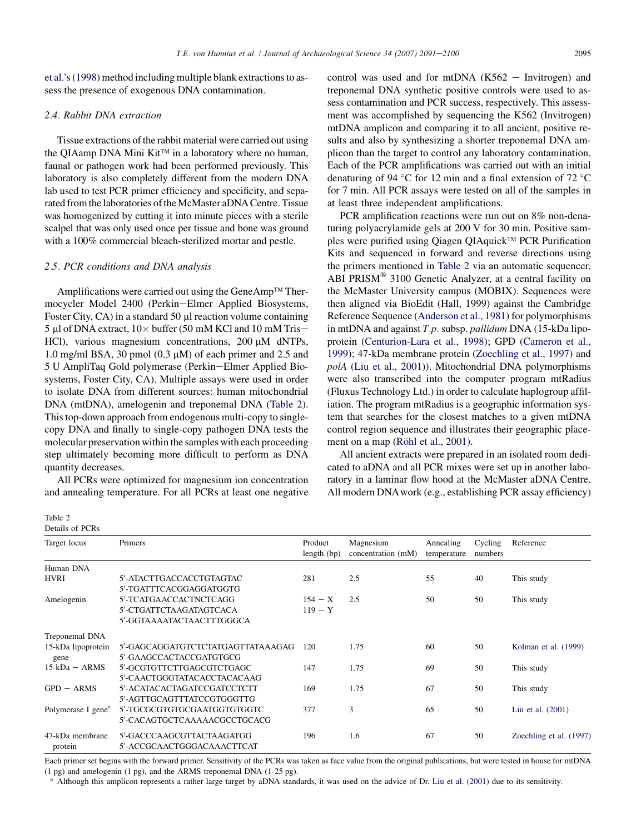[et al.'s \(1998\)](#page-9-0) method including multiple blank extractions to assess the presence of exogenous DNA contamination.

## 2.4. Rabbit DNA extraction

Tissue extractions of the rabbit material were carried out using the QIAamp DNA Mini Kit $TM$  in a laboratory where no human, faunal or pathogen work had been performed previously. This laboratory is also completely different from the modern DNA lab used to test PCR primer efficiency and specificity, and separated from the laboratories of the McMaster aDNACentre. Tissue was homogenized by cutting it into minute pieces with a sterile scalpel that was only used once per tissue and bone was ground with a 100% commercial bleach-sterilized mortar and pestle.

#### 2.5. PCR conditions and DNA analysis

Amplifications were carried out using the GeneAmp<sup>TM</sup> Thermocycler Model 2400 (Perkin-Elmer Applied Biosystems, Foster City, CA) in a standard 50 µl reaction volume containing 5  $\mu$ l of DNA extract, 10 $\times$  buffer (50 mM KCl and 10 mM Tris $-$ HCl), various magnesium concentrations,  $200 \mu M$  dNTPs, 1.0 mg/ml BSA, 30 pmol  $(0.3 \mu M)$  of each primer and 2.5 and 5 U AmpliTaq Gold polymerase (Perkin-Elmer Applied Biosystems, Foster City, CA). Multiple assays were used in order to isolate DNA from different sources: human mitochondrial DNA (mtDNA), amelogenin and treponemal DNA (Table 2). This top-down approach from endogenous multi-copy to singlecopy DNA and finally to single-copy pathogen DNA tests the molecular preservation within the samples with each proceeding step ultimately becoming more difficult to perform as DNA quantity decreases.

All PCRs were optimized for magnesium ion concentration and annealing temperature. For all PCRs at least one negative control was used and for mtDNA  $(K562 - Invitrogen)$  and treponemal DNA synthetic positive controls were used to assess contamination and PCR success, respectively. This assessment was accomplished by sequencing the K562 (Invitrogen) mtDNA amplicon and comparing it to all ancient, positive results and also by synthesizing a shorter treponemal DNA amplicon than the target to control any laboratory contamination. Each of the PCR amplifications was carried out with an initial denaturing of 94 °C for 12 min and a final extension of 72 °C for 7 min. All PCR assays were tested on all of the samples in at least three independent amplifications.

PCR amplification reactions were run out on 8% non-denaturing polyacrylamide gels at 200 V for 30 min. Positive samples were purified using Qiagen QIAquick™ PCR Purification Kits and sequenced in forward and reverse directions using the primers mentioned in Table 2 via an automatic sequencer, ABI PRISM<sup>®</sup> 3100 Genetic Analyzer, at a central facility on the McMaster University campus (MOBIX). Sequences were then aligned via BioEdit (Hall, 1999) against the Cambridge Reference Sequence ([Anderson et al., 1981\)](#page-8-0) for polymorphisms in mtDNA and against T.p. subsp. pallidum DNA (15-kDa lipoprotein [\(Centurion-Lara et al., 1998\)](#page-8-0); GPD [\(Cameron et al.,](#page-8-0) [1999](#page-8-0)); 47-kDa membrane protein [\(Zoechling et al., 1997\)](#page-9-0) and polA [\(Liu et al., 2001\)](#page-8-0)). Mitochondrial DNA polymorphisms were also transcribed into the computer program mtRadius (Fluxus Technology Ltd.) in order to calculate haplogroup affiliation. The program mtRadius is a geographic information system that searches for the closest matches to a given mtDNA control region sequence and illustrates their geographic placement on a map (Röhl et al., 2001).

All ancient extracts were prepared in an isolated room dedicated to aDNA and all PCR mixes were set up in another laboratory in a laminar flow hood at the McMaster aDNA Centre. All modern DNA work (e.g., establishing PCR assay efficiency)

| rable<br>× |  |
|------------|--|
|            |  |

| Target locus                   | Primers                           | Product<br>length $(bp)$ | Magnesium<br>concentration (mM) | Annealing<br>temperature | Cycling<br>numbers | Reference               |
|--------------------------------|-----------------------------------|--------------------------|---------------------------------|--------------------------|--------------------|-------------------------|
| Human DNA                      |                                   |                          |                                 |                          |                    |                         |
| <b>HVRI</b>                    | 5'-ATACTTGACCACCTGTAGTAC          | 281                      | 2.5                             | 55                       | 40                 | This study              |
|                                | 5'-TGATTTCACGGAGGATGGTG           |                          |                                 |                          |                    |                         |
| Amelogenin                     | 5'-TCATGAACCACTNCTCAGG            | $154 - X$                | 2.5                             | 50                       | 50                 | This study              |
|                                | 5'-CTGATTCTAAGATAGTCACA           | $119 - Y$                |                                 |                          |                    |                         |
|                                | 5'-GGTAAAATACTAACTTTGGGCA         |                          |                                 |                          |                    |                         |
| Treponemal DNA                 |                                   |                          |                                 |                          |                    |                         |
| 15-kDa lipoprotein             | 5'-GAGCAGGATGTCTCTATGAGTTATAAAGAG | 120                      | 1.75                            | 60                       | 50                 | Kolman et al. (1999)    |
| gene                           | 5'-GAAGCCACTACCGATGTGCG           |                          |                                 |                          |                    |                         |
| $15-kDa - ARMS$                | 5'-GCGTGTTCTTGAGCGTCTGAGC         | 147                      | 1.75                            | 69                       | 50                 | This study              |
|                                | 5'-CAACTGGGTATACACCTACACAAG       |                          |                                 |                          |                    |                         |
| $GPD - ARMS$                   | 5'-ACATACACTAGATCCGATCCTCTT       | 169                      | 1.75                            | 67                       | 50                 | This study              |
|                                | 5'-AGTTGCAGTTTATCCGTGGGTTG        |                          |                                 |                          |                    |                         |
| Polymerase I gene <sup>a</sup> | 5'-TGCGCGTGTGCGAATGGTGTGGTC       | 377                      | 3                               | 65                       | 50                 | Liu et al. (2001)       |
|                                | 5'-CACAGTGCTCAAAAACGCCTGCACG      |                          |                                 |                          |                    |                         |
| 47-kDa membrane                | 5'-GACCCAAGCGTTACTAAGATGG         | 196                      | 1.6                             | 67                       | 50                 | Zoechling et al. (1997) |
| protein                        | 5'-ACCGCAACTGGGACAAACTTCAT        |                          |                                 |                          |                    |                         |

Each primer set begins with the forward primer. Sensitivity of the PCRs was taken as face value from the original publications, but were tested in house for mtDNA (1 pg) and amelogenin (1 pg), and the ARMS treponemal DNA (1-25 pg).

<sup>a</sup> Although this amplicon represents a rather large target by aDNA standards, it was used on the advice of Dr. [Liu et al. \(2001\)](#page-8-0) due to its sensitivity.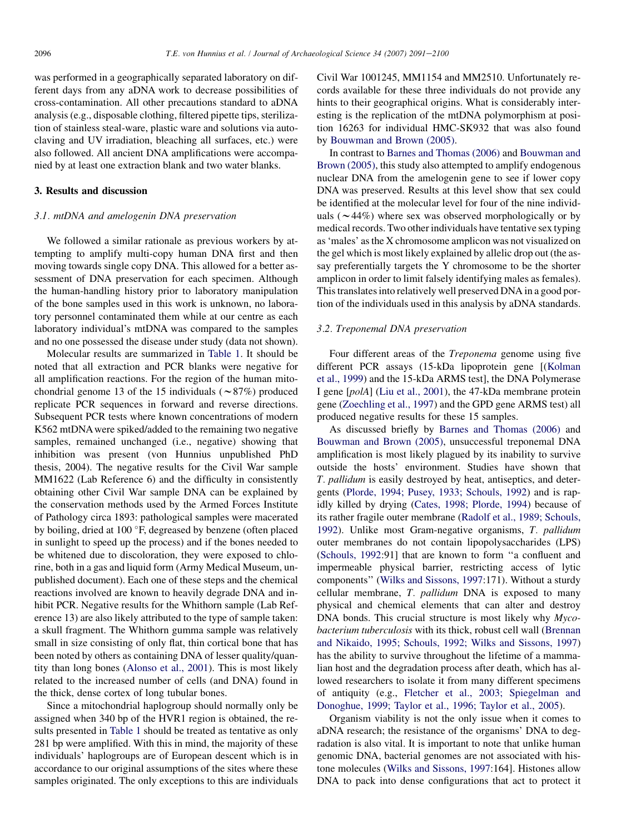was performed in a geographically separated laboratory on different days from any aDNA work to decrease possibilities of cross-contamination. All other precautions standard to aDNA analysis (e.g., disposable clothing, filtered pipette tips, sterilization of stainless steal-ware, plastic ware and solutions via autoclaving and UV irradiation, bleaching all surfaces, etc.) were also followed. All ancient DNA amplifications were accompanied by at least one extraction blank and two water blanks.

# 3. Results and discussion

#### 3.1. mtDNA and amelogenin DNA preservation

We followed a similar rationale as previous workers by attempting to amplify multi-copy human DNA first and then moving towards single copy DNA. This allowed for a better assessment of DNA preservation for each specimen. Although the human-handling history prior to laboratory manipulation of the bone samples used in this work is unknown, no laboratory personnel contaminated them while at our centre as each laboratory individual's mtDNA was compared to the samples and no one possessed the disease under study (data not shown).

Molecular results are summarized in [Table 1.](#page-3-0) It should be noted that all extraction and PCR blanks were negative for all amplification reactions. For the region of the human mitochondrial genome 13 of the 15 individuals ( $\sim$ 87%) produced replicate PCR sequences in forward and reverse directions. Subsequent PCR tests where known concentrations of modern K562 mtDNAwere spiked/added to the remaining two negative samples, remained unchanged (i.e., negative) showing that inhibition was present (von Hunnius unpublished PhD thesis, 2004). The negative results for the Civil War sample MM1622 (Lab Reference 6) and the difficulty in consistently obtaining other Civil War sample DNA can be explained by the conservation methods used by the Armed Forces Institute of Pathology circa 1893: pathological samples were macerated by boiling, dried at 100 °F, degreased by benzene (often placed in sunlight to speed up the process) and if the bones needed to be whitened due to discoloration, they were exposed to chlorine, both in a gas and liquid form (Army Medical Museum, unpublished document). Each one of these steps and the chemical reactions involved are known to heavily degrade DNA and inhibit PCR. Negative results for the Whithorn sample (Lab Reference 13) are also likely attributed to the type of sample taken: a skull fragment. The Whithorn gumma sample was relatively small in size consisting of only flat, thin cortical bone that has been noted by others as containing DNA of lesser quality/quantity than long bones ([Alonso et al., 2001](#page-8-0)). This is most likely related to the increased number of cells (and DNA) found in the thick, dense cortex of long tubular bones.

Since a mitochondrial haplogroup should normally only be assigned when 340 bp of the HVR1 region is obtained, the results presented in [Table 1](#page-3-0) should be treated as tentative as only 281 bp were amplified. With this in mind, the majority of these individuals' haplogroups are of European descent which is in accordance to our original assumptions of the sites where these samples originated. The only exceptions to this are individuals Civil War 1001245, MM1154 and MM2510. Unfortunately records available for these three individuals do not provide any hints to their geographical origins. What is considerably interesting is the replication of the mtDNA polymorphism at position 16263 for individual HMC-SK932 that was also found by [Bouwman and Brown \(2005\).](#page-8-0)

In contrast to [Barnes and Thomas \(2006\)](#page-8-0) and [Bouwman and](#page-8-0) [Brown \(2005\)](#page-8-0), this study also attempted to amplify endogenous nuclear DNA from the amelogenin gene to see if lower copy DNA was preserved. Results at this level show that sex could be identified at the molecular level for four of the nine individuals ( $\sim$ 44%) where sex was observed morphologically or by medical records. Two other individuals have tentative sex typing as 'males' as the X chromosome amplicon was not visualized on the gel which is most likely explained by allelic drop out (the assay preferentially targets the Y chromosome to be the shorter amplicon in order to limit falsely identifying males as females). This translates into relatively well preserved DNA in a good portion of the individuals used in this analysis by aDNA standards.

### 3.2. Treponemal DNA preservation

Four different areas of the Treponema genome using five different PCR assays (15-kDa lipoprotein gene [([Kolman](#page-8-0) [et al., 1999\)](#page-8-0) and the 15-kDa ARMS test], the DNA Polymerase I gene [polA] ([Liu et al., 2001\)](#page-8-0), the 47-kDa membrane protein gene [\(Zoechling et al., 1997\)](#page-9-0) and the GPD gene ARMS test) all produced negative results for these 15 samples.

As discussed briefly by [Barnes and Thomas \(2006\)](#page-8-0) and [Bouwman and Brown \(2005\),](#page-8-0) unsuccessful treponemal DNA amplification is most likely plagued by its inability to survive outside the hosts' environment. Studies have shown that T. pallidum is easily destroyed by heat, antiseptics, and detergents ([Plorde, 1994; Pusey, 1933; Schouls, 1992](#page-9-0)) and is rapidly killed by drying ([Cates, 1998; Plorde, 1994\)](#page-8-0) because of its rather fragile outer membrane [\(Radolf et al., 1989; Schouls,](#page-9-0) [1992\)](#page-9-0). Unlike most Gram-negative organisms, T. pallidum outer membranes do not contain lipopolysaccharides (LPS) [\(Schouls, 1992:](#page-9-0)91] that are known to form ''a confluent and impermeable physical barrier, restricting access of lytic components'' ([Wilks and Sissons, 1997:](#page-9-0)171). Without a sturdy cellular membrane, T. pallidum DNA is exposed to many physical and chemical elements that can alter and destroy DNA bonds. This crucial structure is most likely why Mycobacterium tuberculosis with its thick, robust cell wall ([Brennan](#page-8-0) [and Nikaido, 1995; Schouls, 1992; Wilks and Sissons, 1997](#page-8-0)) has the ability to survive throughout the lifetime of a mammalian host and the degradation process after death, which has allowed researchers to isolate it from many different specimens of antiquity (e.g., [Fletcher et al., 2003; Spiegelman and](#page-8-0) [Donoghue, 1999; Taylor et al., 1996; Taylor et al., 2005](#page-8-0)).

Organism viability is not the only issue when it comes to aDNA research; the resistance of the organisms' DNA to degradation is also vital. It is important to note that unlike human genomic DNA, bacterial genomes are not associated with histone molecules [\(Wilks and Sissons, 1997:](#page-9-0)164]. Histones allow DNA to pack into dense configurations that act to protect it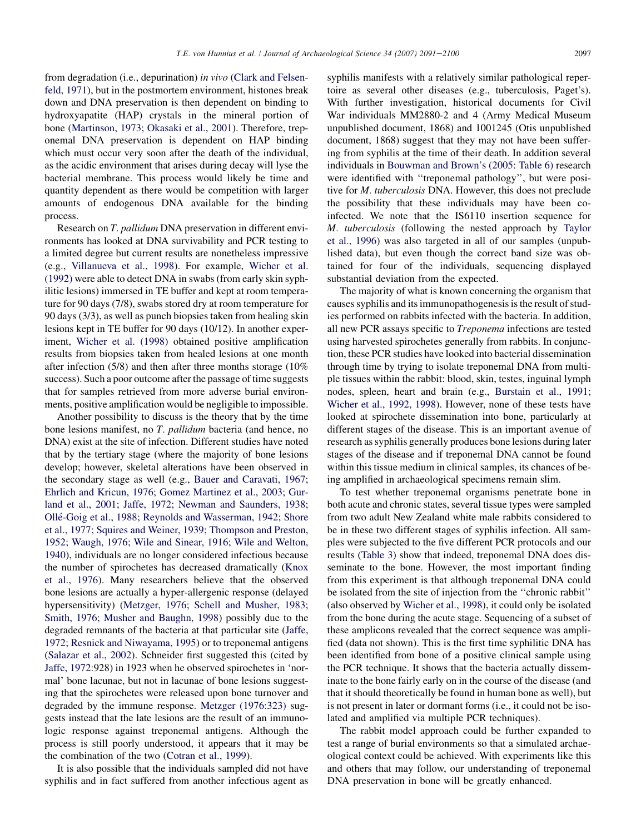from degradation (i.e., depurination) in vivo ([Clark and Felsen](#page-8-0)[feld, 1971\)](#page-8-0), but in the postmortem environment, histones break down and DNA preservation is then dependent on binding to hydroxyapatite (HAP) crystals in the mineral portion of bone [\(Martinson, 1973; Okasaki et al., 2001](#page-8-0)). Therefore, treponemal DNA preservation is dependent on HAP binding which must occur very soon after the death of the individual, as the acidic environment that arises during decay will lyse the bacterial membrane. This process would likely be time and quantity dependent as there would be competition with larger amounts of endogenous DNA available for the binding process.

Research on T. pallidum DNA preservation in different environments has looked at DNA survivability and PCR testing to a limited degree but current results are nonetheless impressive (e.g., [Villanueva et al., 1998\)](#page-9-0). For example, [Wicher et al.](#page-9-0) [\(1992\)](#page-9-0) were able to detect DNA in swabs (from early skin syphilitic lesions) immersed in TE buffer and kept at room temperature for 90 days (7/8), swabs stored dry at room temperature for 90 days (3/3), as well as punch biopsies taken from healing skin lesions kept in TE buffer for 90 days (10/12). In another experiment, [Wicher et al. \(1998\)](#page-9-0) obtained positive amplification results from biopsies taken from healed lesions at one month after infection (5/8) and then after three months storage (10% success). Such a poor outcome after the passage of time suggests that for samples retrieved from more adverse burial environments, positive amplification would be negligible to impossible.

Another possibility to discuss is the theory that by the time bone lesions manifest, no T. pallidum bacteria (and hence, no DNA) exist at the site of infection. Different studies have noted that by the tertiary stage (where the majority of bone lesions develop; however, skeletal alterations have been observed in the secondary stage as well (e.g., [Bauer and Caravati, 1967;](#page-8-0) [Ehrlich and Kricun, 1976; Gomez Martinez et al., 2003; Gur](#page-8-0)[land et al., 2001; Jaffe, 1972; Newman and Saunders, 1938;](#page-8-0) Ollé-Goig et al., 1988; Reynolds and Wasserman, 1942; Shore [et al., 1977; Squires and Weiner, 1939; Thompson and Preston,](#page-8-0) [1952; Waugh, 1976; Wile and Sinear, 1916; Wile and Welton,](#page-8-0) [1940](#page-8-0)), individuals are no longer considered infectious because the number of spirochetes has decreased dramatically [\(Knox](#page-8-0) [et al., 1976](#page-8-0)). Many researchers believe that the observed bone lesions are actually a hyper-allergenic response (delayed hypersensitivity) [\(Metzger, 1976; Schell and Musher, 1983;](#page-8-0) [Smith, 1976; Musher and Baughn, 1998](#page-8-0)) possibly due to the degraded remnants of the bacteria at that particular site ([Jaffe,](#page-8-0) [1972; Resnick and Niwayama, 1995\)](#page-8-0) or to treponemal antigens ([Salazar et al., 2002](#page-9-0)). Schneider first suggested this (cited by [Jaffe, 1972:](#page-8-0)928) in 1923 when he observed spirochetes in 'normal' bone lacunae, but not in lacunae of bone lesions suggesting that the spirochetes were released upon bone turnover and degraded by the immune response. [Metzger \(1976:323\)](#page-8-0) suggests instead that the late lesions are the result of an immunologic response against treponemal antigens. Although the process is still poorly understood, it appears that it may be the combination of the two ([Cotran et al., 1999](#page-8-0)).

It is also possible that the individuals sampled did not have syphilis and in fact suffered from another infectious agent as syphilis manifests with a relatively similar pathological repertoire as several other diseases (e.g., tuberculosis, Paget's). With further investigation, historical documents for Civil War individuals MM2880-2 and 4 (Army Medical Museum unpublished document, 1868) and 1001245 (Otis unpublished document, 1868) suggest that they may not have been suffering from syphilis at the time of their death. In addition several individuals in [Bouwman and Brown's \(2005: Table 6\)](#page-8-0) research were identified with ''treponemal pathology'', but were positive for M. tuberculosis DNA. However, this does not preclude the possibility that these individuals may have been coinfected. We note that the IS6110 insertion sequence for M. tuberculosis (following the nested approach by [Taylor](#page-9-0) [et al., 1996](#page-9-0)) was also targeted in all of our samples (unpublished data), but even though the correct band size was obtained for four of the individuals, sequencing displayed substantial deviation from the expected.

The majority of what is known concerning the organism that causes syphilis and its immunopathogenesis is the result of studies performed on rabbits infected with the bacteria. In addition, all new PCR assays specific to Treponema infections are tested using harvested spirochetes generally from rabbits. In conjunction, these PCR studies have looked into bacterial dissemination through time by trying to isolate treponemal DNA from multiple tissues within the rabbit: blood, skin, testes, inguinal lymph nodes, spleen, heart and brain (e.g., [Burstain et al., 1991;](#page-8-0) [Wicher et al., 1992, 1998](#page-8-0)). However, none of these tests have looked at spirochete dissemination into bone, particularly at different stages of the disease. This is an important avenue of research as syphilis generally produces bone lesions during later stages of the disease and if treponemal DNA cannot be found within this tissue medium in clinical samples, its chances of being amplified in archaeological specimens remain slim.

To test whether treponemal organisms penetrate bone in both acute and chronic states, several tissue types were sampled from two adult New Zealand white male rabbits considered to be in these two different stages of syphilis infection. All samples were subjected to the five different PCR protocols and our results ([Table 3\)](#page-7-0) show that indeed, treponemal DNA does disseminate to the bone. However, the most important finding from this experiment is that although treponemal DNA could be isolated from the site of injection from the ''chronic rabbit'' (also observed by [Wicher et al., 1998](#page-9-0)), it could only be isolated from the bone during the acute stage. Sequencing of a subset of these amplicons revealed that the correct sequence was amplified (data not shown). This is the first time syphilitic DNA has been identified from bone of a positive clinical sample using the PCR technique. It shows that the bacteria actually disseminate to the bone fairly early on in the course of the disease (and that it should theoretically be found in human bone as well), but is not present in later or dormant forms (i.e., it could not be isolated and amplified via multiple PCR techniques).

The rabbit model approach could be further expanded to test a range of burial environments so that a simulated archaeological context could be achieved. With experiments like this and others that may follow, our understanding of treponemal DNA preservation in bone will be greatly enhanced.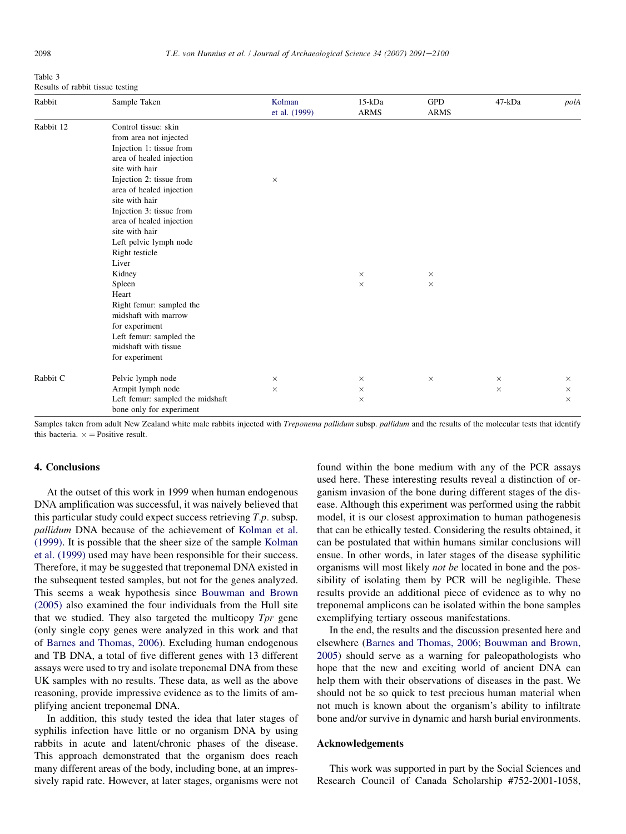<span id="page-7-0"></span>

| Table 3                          |  |
|----------------------------------|--|
| Results of rabbit tissue testing |  |

| Rabbit    | Sample Taken                     | Kolman<br>et al. (1999) | 15-kDa<br><b>ARMS</b> | <b>GPD</b><br><b>ARMS</b> | 47-kDa   | polA     |
|-----------|----------------------------------|-------------------------|-----------------------|---------------------------|----------|----------|
| Rabbit 12 | Control tissue: skin             |                         |                       |                           |          |          |
|           | from area not injected           |                         |                       |                           |          |          |
|           | Injection 1: tissue from         |                         |                       |                           |          |          |
|           | area of healed injection         |                         |                       |                           |          |          |
|           | site with hair                   |                         |                       |                           |          |          |
|           | Injection 2: tissue from         | $\times$                |                       |                           |          |          |
|           | area of healed injection         |                         |                       |                           |          |          |
|           | site with hair                   |                         |                       |                           |          |          |
|           | Injection 3: tissue from         |                         |                       |                           |          |          |
|           | area of healed injection         |                         |                       |                           |          |          |
|           | site with hair                   |                         |                       |                           |          |          |
|           | Left pelvic lymph node           |                         |                       |                           |          |          |
|           | Right testicle                   |                         |                       |                           |          |          |
|           | Liver                            |                         |                       |                           |          |          |
|           | Kidney                           |                         | $\times$              | $\times$                  |          |          |
|           | Spleen                           |                         | $\times$              | $\times$                  |          |          |
|           | Heart                            |                         |                       |                           |          |          |
|           | Right femur: sampled the         |                         |                       |                           |          |          |
|           | midshaft with marrow             |                         |                       |                           |          |          |
|           | for experiment                   |                         |                       |                           |          |          |
|           | Left femur: sampled the          |                         |                       |                           |          |          |
|           | midshaft with tissue             |                         |                       |                           |          |          |
|           | for experiment                   |                         |                       |                           |          |          |
| Rabbit C  | Pelvic lymph node                | $\times$                | $\times$              | $\times$                  | $\times$ | $\times$ |
|           | Armpit lymph node                | $\times$                | $\times$              |                           | $\times$ | $\times$ |
|           | Left femur: sampled the midshaft |                         | $\times$              |                           |          | $\times$ |
|           | bone only for experiment         |                         |                       |                           |          |          |

Samples taken from adult New Zealand white male rabbits injected with Treponema pallidum subsp. pallidum and the results of the molecular tests that identify this bacteria.  $\times$  = Positive result.

# 4. Conclusions

At the outset of this work in 1999 when human endogenous DNA amplification was successful, it was naively believed that this particular study could expect success retrieving  $T.p.$  subsp. pallidum DNA because of the achievement of [Kolman et al.](#page-8-0) [\(1999\)](#page-8-0). It is possible that the sheer size of the sample [Kolman](#page-8-0) [et al. \(1999\)](#page-8-0) used may have been responsible for their success. Therefore, it may be suggested that treponemal DNA existed in the subsequent tested samples, but not for the genes analyzed. This seems a weak hypothesis since [Bouwman and Brown](#page-8-0) [\(2005\)](#page-8-0) also examined the four individuals from the Hull site that we studied. They also targeted the multicopy  $Tpr$  gene (only single copy genes were analyzed in this work and that of [Barnes and Thomas, 2006\)](#page-8-0). Excluding human endogenous and TB DNA, a total of five different genes with 13 different assays were used to try and isolate treponemal DNA from these UK samples with no results. These data, as well as the above reasoning, provide impressive evidence as to the limits of amplifying ancient treponemal DNA.

In addition, this study tested the idea that later stages of syphilis infection have little or no organism DNA by using rabbits in acute and latent/chronic phases of the disease. This approach demonstrated that the organism does reach many different areas of the body, including bone, at an impressively rapid rate. However, at later stages, organisms were not found within the bone medium with any of the PCR assays used here. These interesting results reveal a distinction of organism invasion of the bone during different stages of the disease. Although this experiment was performed using the rabbit model, it is our closest approximation to human pathogenesis that can be ethically tested. Considering the results obtained, it can be postulated that within humans similar conclusions will ensue. In other words, in later stages of the disease syphilitic organisms will most likely not be located in bone and the possibility of isolating them by PCR will be negligible. These results provide an additional piece of evidence as to why no treponemal amplicons can be isolated within the bone samples exemplifying tertiary osseous manifestations.

In the end, the results and the discussion presented here and elsewhere [\(Barnes and Thomas, 2006; Bouwman and Brown,](#page-8-0) [2005\)](#page-8-0) should serve as a warning for paleopathologists who hope that the new and exciting world of ancient DNA can help them with their observations of diseases in the past. We should not be so quick to test precious human material when not much is known about the organism's ability to infiltrate bone and/or survive in dynamic and harsh burial environments.

# Acknowledgements

This work was supported in part by the Social Sciences and Research Council of Canada Scholarship #752-2001-1058,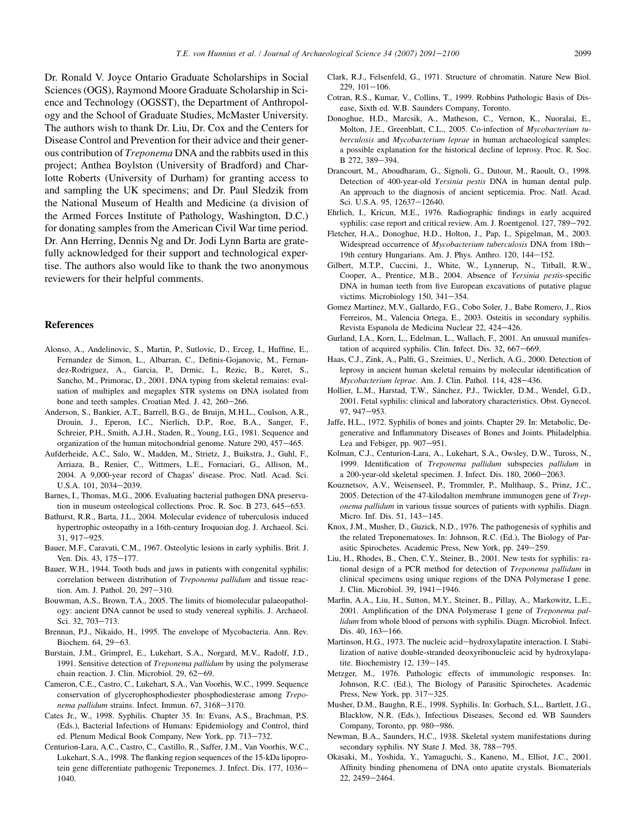<span id="page-8-0"></span>Dr. Ronald V. Joyce Ontario Graduate Scholarships in Social Sciences (OGS), Raymond Moore Graduate Scholarship in Science and Technology (OGSST), the Department of Anthropology and the School of Graduate Studies, McMaster University. The authors wish to thank Dr. Liu, Dr. Cox and the Centers for Disease Control and Prevention for their advice and their generous contribution of Treponema DNA and the rabbits used in this project; Anthea Boylston (University of Bradford) and Charlotte Roberts (University of Durham) for granting access to and sampling the UK specimens; and Dr. Paul Sledzik from the National Museum of Health and Medicine (a division of the Armed Forces Institute of Pathology, Washington, D.C.) for donating samples from the American Civil War time period. Dr. Ann Herring, Dennis Ng and Dr. Jodi Lynn Barta are gratefully acknowledged for their support and technological expertise. The authors also would like to thank the two anonymous reviewers for their helpful comments.

# References

- Alonso, A., Andelinovic, S., Martin, P., Sutlovic, D., Erceg, I., Huffine, E., Fernandez de Simon, L., Albarran, C., Definis-Gojanovic, M., Fernandez-Rodriguez, A., Garcia, P., Drmic, I., Rezic, B., Kuret, S., Sancho, M., Primorac, D., 2001. DNA typing from skeletal remains: evaluation of multiplex and megaplex STR systems on DNA isolated from bone and teeth samples. Croatian Med. J. 42, 260-266.
- Anderson, S., Bankier, A.T., Barrell, B.G., de Bruijn, M.H.L., Coulson, A.R., Drouin, J., Eperon, I.C., Nierlich, D.P., Roe, B.A., Sanger, F., Schreier, P.H., Smith, A.J.H., Staden, R., Young, I.G., 1981. Sequence and organization of the human mitochondrial genome. Nature 290, 457-465.
- Aufderheide, A.C., Salo, W., Madden, M., Strietz, J., Buikstra, J., Guhl, F., Arriaza, B., Renier, C., Wittmers, L.E., Fornaciari, G., Allison, M., 2004. A 9,000-year record of Chagas' disease. Proc. Natl. Acad. Sci. U.S.A. 101, 2034-2039.
- Barnes, I., Thomas, M.G., 2006. Evaluating bacterial pathogen DNA preservation in museum osteological collections. Proc. R. Soc. B  $273, 645-653$ .
- Bathurst, R.R., Barta, J.L., 2004. Molecular evidence of tuberculosis induced hypertrophic osteopathy in a 16th-century Iroquoian dog. J. Archaeol. Sci.  $31.917 - 925.$
- Bauer, M.F., Caravati, C.M., 1967. Osteolytic lesions in early syphilis. Brit. J. Ven. Dis. 43, 175-177.
- Bauer, W.H., 1944. Tooth buds and jaws in patients with congenital syphilis: correlation between distribution of Treponema pallidum and tissue reaction. Am. J. Pathol. 20, 297-310.
- Bouwman, A.S., Brown, T.A., 2005. The limits of biomolecular palaeopathology: ancient DNA cannot be used to study venereal syphilis. J. Archaeol. Sci. 32, 703-713.
- Brennan, P.J., Nikaido, H., 1995. The envelope of Mycobacteria. Ann. Rev. Biochem.  $64, 29-63$ .
- Burstain, J.M., Grimprel, E., Lukehart, S.A., Norgard, M.V., Radolf, J.D., 1991. Sensitive detection of Treponema pallidum by using the polymerase chain reaction. J. Clin. Microbiol. 29, 62-69.
- Cameron, C.E., Castro, C., Lukehart, S.A., Van Voorhis, W.C., 1999. Sequence conservation of glycerophosphodiester phosphodiesterase among Treponema pallidum strains. Infect. Immun. 67, 3168-3170.
- Cates Jr., W., 1998. Syphilis. Chapter 35. In: Evans, A.S., Brachman, P.S. (Eds.), Bacterial Infections of Humans: Epidemiology and Control, third ed. Plenum Medical Book Company, New York, pp. 713–732.
- Centurion-Lara, A.C., Castro, C., Castillo, R., Saffer, J.M., Van Voorhis, W.C., Lukehart, S.A., 1998. The flanking region sequences of the 15-kDa lipoprotein gene differentiate pathogenic Treponemes. J. Infect. Dis. 177, 1036-1040.
- Clark, R.J., Felsenfeld, G., 1971. Structure of chromatin. Nature New Biol.  $229, 101 - 106$
- Cotran, R.S., Kumar, V., Collins, T., 1999. Robbins Pathologic Basis of Disease, Sixth ed. W.B. Saunders Company, Toronto.
- Donoghue, H.D., Marcsik, A., Matheson, C., Vernon, K., Nuoralai, E., Molton, J.E., Greenblatt, C.L., 2005. Co-infection of Mycobacterium tuberculosis and Mycobacterium leprae in human archaeological samples: a possible explanation for the historical decline of leprosy. Proc. R. Soc. B 272, 389-394.
- Drancourt, M., Aboudharam, G., Signoli, G., Dutour, M., Raoult, O., 1998. Detection of 400-year-old Yersinia pestis DNA in human dental pulp. An approach to the diagnosis of ancient septicemia. Proc. Natl. Acad. Sci. U.S.A. 95, 12637-12640.
- Ehrlich, I., Kricun, M.E., 1976. Radiographic findings in early acquired syphilis: case report and critical review. Am. J. Roentgenol. 127, 789-792.
- Fletcher, H.A., Donoghue, H.D., Holton, J., Pap, I., Spigelman, M., 2003. Widespread occurrence of *Mycobacterium tuberculosis* DNA from 18th-19th century Hungarians. Am. J. Phys. Anthro.  $120$ ,  $144-152$ .
- Gilbert, M.T.P., Cuccini, J., White, W., Lynnerup, N., Titball, R.W., Cooper, A., Prentice, M.B., 2004. Absence of Yersinia pestis-specific DNA in human teeth from five European excavations of putative plague victims. Microbiology 150, 341-354.
- Gomez Martinez, M.V., Gallardo, F.G., Cobo Soler, J., Babe Romero, J., Rios Ferreiros, M., Valencia Ortega, E., 2003. Osteitis in secondary syphilis. Revista Espanola de Medicina Nuclear 22, 424-426.
- Gurland, I.A., Korn, L., Edelman, L., Wallach, F., 2001. An unusual manifestation of acquired syphilis. Clin. Infect. Dis. 32, 667-669.
- Haas, C.J., Zink, A., Palfi, G., Szeimies, U., Nerlich, A.G., 2000. Detection of leprosy in ancient human skeletal remains by molecular identification of Mycobacterium leprae. Am. J. Clin. Pathol. 114, 428-436.
- Hollier, L.M., Harstad, T.W., Sánchez, P.J., Twickler, D.M., Wendel, G.D., 2001. Fetal syphilis: clinical and laboratory characteristics. Obst. Gynecol. 97, 947-953.
- Jaffe, H.L., 1972. Syphilis of bones and joints. Chapter 29. In: Metabolic, Degenerative and Inflammatory Diseases of Bones and Joints. Philadelphia. Lea and Febiger, pp. 907-951.
- Kolman, C.J., Centurion-Lara, A., Lukehart, S.A., Owsley, D.W., Tuross, N., 1999. Identification of Treponema pallidum subspecies pallidum in a 200-year-old skeletal specimen. J. Infect. Dis. 180, 2060-2063.
- Kouznetsov, A.V., Weisenseel, P., Trommler, P., Multhaup, S., Prinz, J.C., 2005. Detection of the 47-kilodalton membrane immunogen gene of Treponema pallidum in various tissue sources of patients with syphilis. Diagn. Micro. Inf. Dis. 51, 143-145.
- Knox, J.M., Musher, D., Guzick, N.D., 1976. The pathogenesis of syphilis and the related Treponematoses. In: Johnson, R.C. (Ed.), The Biology of Parasitic Spirochetes. Academic Press, New York, pp. 249-259.
- Liu, H., Rhodes, B., Chen, C.Y., Steiner, B., 2001. New tests for syphilis: rational design of a PCR method for detection of Treponema pallidum in clinical specimens using unique regions of the DNA Polymerase I gene. J. Clin. Microbiol. 39, 1941-1946.
- Marfin, A.A., Liu, H., Sutton, M.Y., Steiner, B., Pillay, A., Markowitz, L.E., 2001. Amplification of the DNA Polymerase I gene of Treponema pallidum from whole blood of persons with syphilis. Diagn. Microbiol. Infect. Dis.  $40.163 - 166$ .
- Martinson, H.G., 1973. The nucleic acid-hydroxylapatite interaction. I. Stabilization of native double-stranded deoxyribonucleic acid by hydroxylapatite. Biochemistry 12,  $139-145$ .
- Metzger, M., 1976. Pathologic effects of immunologic responses. In: Johnson, R.C. (Ed.), The Biology of Parasitic Spirochetes. Academic Press, New York, pp.  $317-325$ .
- Musher, D.M., Baughn, R.E., 1998. Syphilis. In: Gorbach, S.L., Bartlett, J.G., Blacklow, N.R. (Eds.), Infectious Diseases, Second ed. WB Saunders Company, Toronto, pp. 980-986.
- Newman, B.A., Saunders, H.C., 1938. Skeletal system manifestations during secondary syphilis. NY State J. Med. 38, 788-795.
- Okasaki, M., Yoshida, Y., Yamaguchi, S., Kaneno, M., Elliot, J.C., 2001. Affinity binding phenomena of DNA onto apatite crystals. Biomaterials 22, 2459-2464.